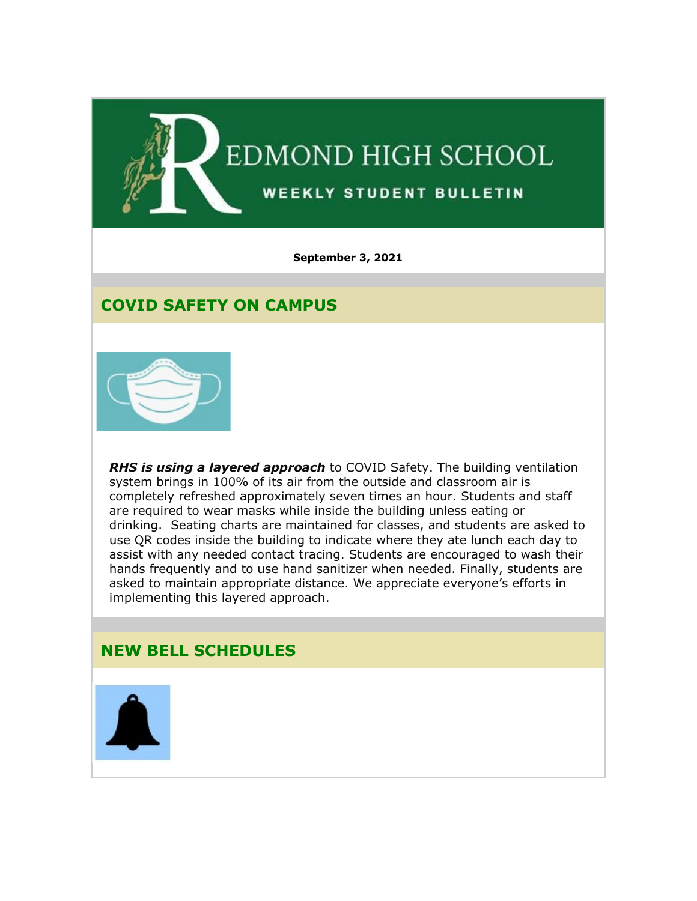

**September 3, 2021**

# **COVID SAFETY ON CAMPUS**



*RHS is using a layered approach* to COVID Safety. The building ventilation system brings in 100% of its air from the outside and classroom air is completely refreshed approximately seven times an hour. Students and staff are required to wear masks while inside the building unless eating or drinking. Seating charts are maintained for classes, and students are asked to use QR codes inside the building to indicate where they ate lunch each day to assist with any needed contact tracing. Students are encouraged to wash their hands frequently and to use hand sanitizer when needed. Finally, students are asked to maintain appropriate distance. We appreciate everyone's efforts in implementing this layered approach.

## **NEW BELL SCHEDULES**

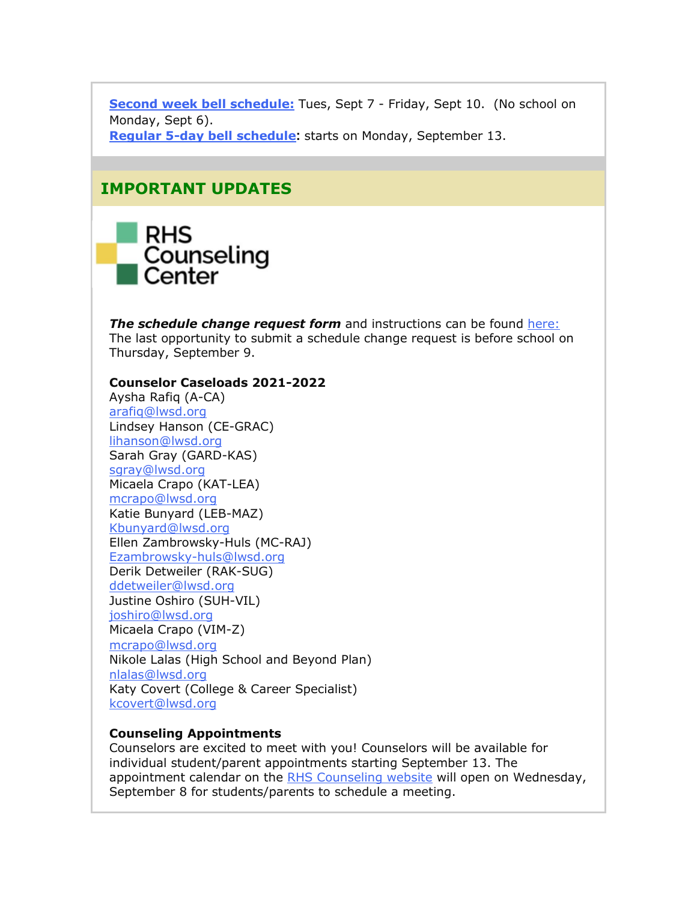**[Second week bell schedule:](https://nam02.safelinks.protection.outlook.com/?url=http%3A%2F%2Flink.email.dynect.net%2Flink.php%3FDynEngagement%3Dtrue%26H%3DgAbOqugG6RJ%252BllKwZHsanCcKLgr793zCl2P7lflJIY27Z%252Bv7upf1D1y0%252B6W%252F6VrVtuPMVrKKdrwGVNlOAyux3ZmKx2SYnTlrwCpEgvkrqgv5Ol70%252BByAj9FGTyWT6HWA%26G%3D0%26R%3Dhttps%253A%252F%252FUFTOGYZTANA.hatchbuck.com%252FTrackLinkClick%253FID2%253Dk9fk6HH_c3I721d8kRocZclDmEVC7DyWsoEORzqYe7kouLXftthIR3NzVs-MyPJn0%26I%3D20210903232006.00000009e63b%2540mail6-35-ussnn1%26X%3DMHwxMjY0OTIyOjIxNzQ4MDEwNjU7MXwxMjY0OTIzOjE3MzQ5NTA4MDs%253D%26V%3D3%26S%3Dod9tSYhLqW_Cgmyr7-F52oCPcj7YkZLSfOXmWmEtaA4&data=04%7C01%7Cmwood%40lwsd.org%7C4118341fd47c4a3281db08d974725e0e%7C1fd4673fdf9646218638a1d88c4c85d7%7C0%7C0%7C637668856816594086%7CUnknown%7CTWFpbGZsb3d8eyJWIjoiMC4wLjAwMDAiLCJQIjoiV2luMzIiLCJBTiI6Ik1haWwiLCJXVCI6Mn0%3D%7C1000&sdata=VSHK2xThHC55uiVdVqg0GoamRbej8abCmqXTyRt%2FI%2BQ%3D&reserved=0)** Tues, Sept 7 - Friday, Sept 10. (No school on Monday, Sept 6).

**[Regular 5-day bell schedule](https://nam02.safelinks.protection.outlook.com/?url=http%3A%2F%2Flink.email.dynect.net%2Flink.php%3FDynEngagement%3Dtrue%26H%3DgAbOqugG6RJ%252BllKwZHsanCcKLgr793zCl2P7lflJIY27Z%252Bv7upf1D1y0%252B6W%252F6VrVtuPMVrKKdrwGVNlOAyux3ZmKx2SYnTlrwCpEgvkrqgv5Ol70%252BByAj9FGTyWT6HWA%26G%3D0%26R%3Dhttps%253A%252F%252FUFTOGYZTANA.hatchbuck.com%252FTrackLinkClick%253FID2%253DSKylXqgCjoeePidtW34LFzMwM1Il1WzKikzsYaw6WX6Bh6BjUk3cj2DTnX9dBi5U0%26I%3D20210903232006.00000009e63b%2540mail6-35-ussnn1%26X%3DMHwxMjY0OTIyOjIxNzQ4MDEwNjU7MXwxMjY0OTIzOjE3MzQ5NTA4MDs%253D%26V%3D3%26S%3DAL9Q31z9sLl-bRXxySTLjCqMm09l6g0lTppiZl-dy3M&data=04%7C01%7Cmwood%40lwsd.org%7C4118341fd47c4a3281db08d974725e0e%7C1fd4673fdf9646218638a1d88c4c85d7%7C0%7C0%7C637668856816604083%7CUnknown%7CTWFpbGZsb3d8eyJWIjoiMC4wLjAwMDAiLCJQIjoiV2luMzIiLCJBTiI6Ik1haWwiLCJXVCI6Mn0%3D%7C1000&sdata=74w0pxflT3Bvd8qRObu00h%2BwRQe58D00CClG5cHYiEY%3D&reserved=0):** starts on Monday, September 13.

## **IMPORTANT UPDATES**



*The schedule change request form* and instructions can be found [here:](https://nam02.safelinks.protection.outlook.com/?url=http%3A%2F%2Flink.email.dynect.net%2Flink.php%3FDynEngagement%3Dtrue%26H%3DgAbOqugG6RJ%252BllKwZHsanCcKLgr793zCl2P7lflJIY27Z%252Bv7upf1D1y0%252B6W%252F6VrVtuPMVrKKdrwGVNlOAyux3ZmKx2SYnTlrwCpEgvkrqgv5Ol70%252BByAj9FGTyWT6HWA%26G%3D0%26R%3Dhttps%253A%252F%252FUFTOGYZTANA.hatchbuck.com%252FTrackLinkClick%253FID2%253DshYZfWSwDWmI_jCkZb2mQRS6uXq6b_0fIvKAfrZ5sx6jvKVrIzYWcmYctsa2n1z10%26I%3D20210903232006.00000009e63b%2540mail6-35-ussnn1%26X%3DMHwxMjY0OTIyOjIxNzQ4MDEwNjU7MXwxMjY0OTIzOjE3MzQ5NTA4MDs%253D%26V%3D3%26S%3Dn8xXR1AvxqjdGyGt4DG4X9wyWb_x69_vOoyuqClBDd4&data=04%7C01%7Cmwood%40lwsd.org%7C4118341fd47c4a3281db08d974725e0e%7C1fd4673fdf9646218638a1d88c4c85d7%7C0%7C0%7C637668856816614073%7CUnknown%7CTWFpbGZsb3d8eyJWIjoiMC4wLjAwMDAiLCJQIjoiV2luMzIiLCJBTiI6Ik1haWwiLCJXVCI6Mn0%3D%7C1000&sdata=2CGpUtseiGCGnPoWw3tV%2BF9zEw202oXSeTr7NRA2QfA%3D&reserved=0) The last opportunity to submit a schedule change request is before school on Thursday, September 9.

#### **Counselor Caseloads 2021-2022**

Aysha Rafiq (A-CA) [arafiq@lwsd.org](mailto:arafiq@lwsd.org) Lindsey Hanson (CE-GRAC) [lihanson@lwsd.org](mailto:lihanson@lwsd.org) Sarah Gray (GARD-KAS) [sgray@lwsd.org](mailto:sgray@lwsd.org) Micaela Crapo (KAT-LEA) [mcrapo@lwsd.org](mailto:mcrapo@lwsd.org) Katie Bunyard (LEB-MAZ) [Kbunyard@lwsd.org](mailto:Kbunyard@lwsd.org) Ellen Zambrowsky-Huls (MC-RAJ) [Ezambrowsky-huls@lwsd.org](mailto:Ezambrowsky-huls@lwsd.org) Derik Detweiler (RAK-SUG) [ddetweiler@lwsd.org](mailto:ddetweiler@lwsd.org) Justine Oshiro (SUH-VIL) [joshiro@lwsd.org](mailto:joshiro@lwsd.org) Micaela Crapo (VIM-Z) [mcrapo@lwsd.org](mailto:mcrapo@lwsd.org) Nikole Lalas (High School and Beyond Plan) [nlalas@lwsd.org](mailto:nlalas@lwsd.org) Katy Covert (College & Career Specialist) [kcovert@lwsd.org](mailto:kcovert@lwsd.org)

#### **Counseling Appointments**

Counselors are excited to meet with you! Counselors will be available for individual student/parent appointments starting September 13. The appointment calendar on the [RHS Counseling website](https://nam02.safelinks.protection.outlook.com/?url=http%3A%2F%2Flink.email.dynect.net%2Flink.php%3FDynEngagement%3Dtrue%26H%3DgAbOqugG6RJ%252BllKwZHsanCcKLgr793zCl2P7lflJIY27Z%252Bv7upf1D1y0%252B6W%252F6VrVtuPMVrKKdrwGVNlOAyux3ZmKx2SYnTlrwCpEgvkrqgv5Ol70%252BByAj9FGTyWT6HWA%26G%3D0%26R%3Dhttps%253A%252F%252FUFTOGYZTANA.hatchbuck.com%252FTrackLinkClick%253FID2%253DM8UNzgRjKqMqDg8U0yp6DhNXiuB198j_67Z1p_myRVjvg9bNbdyMOoHpMR6AueyA0%26I%3D20210903232006.00000009e63b%2540mail6-35-ussnn1%26X%3DMHwxMjY0OTIyOjIxNzQ4MDEwNjU7MXwxMjY0OTIzOjE3MzQ5NTA4MDs%253D%26V%3D3%26S%3DIhui3e-6yuCu1jf-g6-duTwVekC8QjU9YYDsGoe8dSs&data=04%7C01%7Cmwood%40lwsd.org%7C4118341fd47c4a3281db08d974725e0e%7C1fd4673fdf9646218638a1d88c4c85d7%7C0%7C0%7C637668856816614073%7CUnknown%7CTWFpbGZsb3d8eyJWIjoiMC4wLjAwMDAiLCJQIjoiV2luMzIiLCJBTiI6Ik1haWwiLCJXVCI6Mn0%3D%7C1000&sdata=A8P8kZmOmKJBr1RBtzcG99%2B1ntY%2BJWg91GJZgMhiEAo%3D&reserved=0) will open on Wednesday, September 8 for students/parents to schedule a meeting.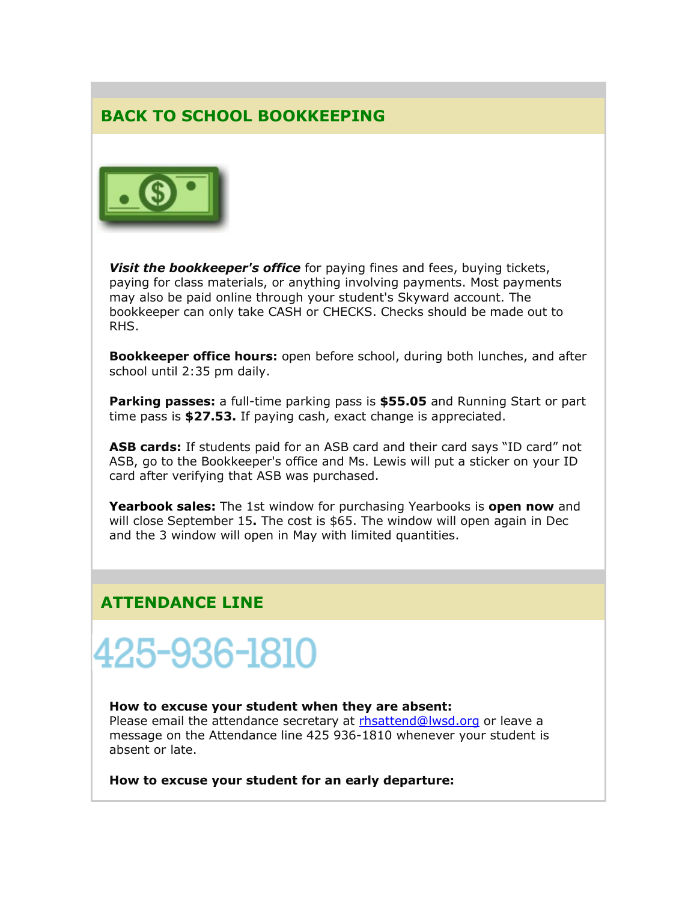## **BACK TO SCHOOL BOOKKEEPING**



*Visit the bookkeeper's office* for paying fines and fees, buying tickets, paying for class materials, or anything involving payments. Most payments may also be paid online through your student's Skyward account. The bookkeeper can only take CASH or CHECKS. Checks should be made out to RHS.

**Bookkeeper office hours:** open before school, during both lunches, and after school until 2:35 pm daily.

**Parking passes:** a full-time parking pass is **\$55.05** and Running Start or part time pass is **\$27.53.** If paying cash, exact change is appreciated.

**ASB cards:** If students paid for an ASB card and their card says "ID card" not ASB, go to the Bookkeeper's office and Ms. Lewis will put a sticker on your ID card after verifying that ASB was purchased.

**Yearbook sales:** The 1st window for purchasing Yearbooks is **open now** and will close September 15**.** The cost is \$65. The window will open again in Dec and the 3 window will open in May with limited quantities.

## **ATTENDANCE LINE**

# 425-936-1810

#### **How to excuse your student when they are absent:**

Please email the attendance secretary at [rhsattend@lwsd.org](mailto:rhsattend@lwsd.org) or leave a message on the Attendance line 425 936-1810 whenever your student is absent or late.

**How to excuse your student for an early departure:**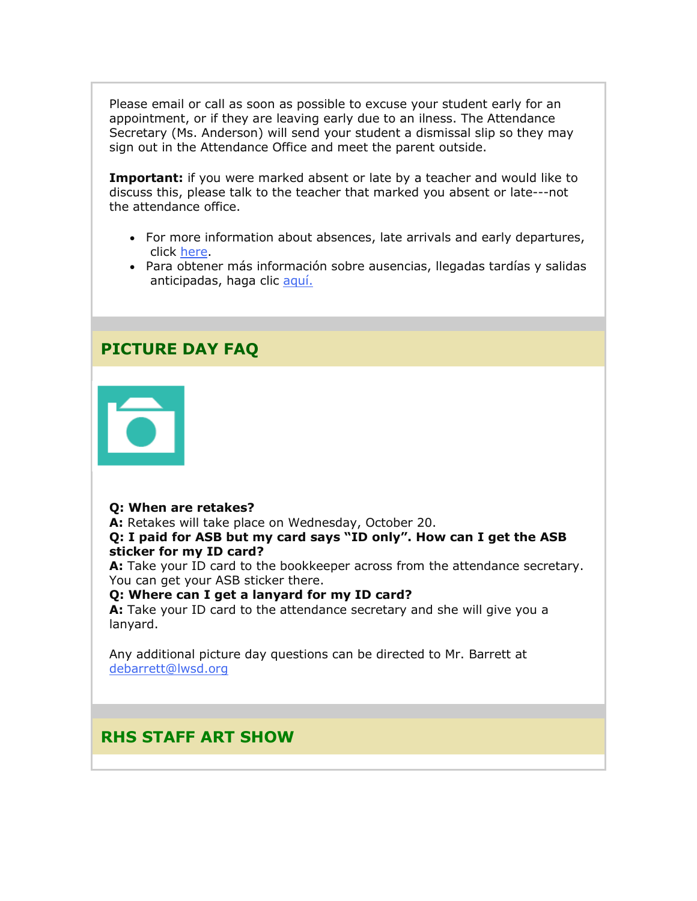Please email or call as soon as possible to excuse your student early for an appointment, or if they are leaving early due to an ilness. The Attendance Secretary (Ms. Anderson) will send your student a dismissal slip so they may sign out in the Attendance Office and meet the parent outside.

**Important:** if you were marked absent or late by a teacher and would like to discuss this, please talk to the teacher that marked you absent or late---not the attendance office.

- For more information about absences, late arrivals and early departures, click [here.](https://nam02.safelinks.protection.outlook.com/?url=http%3A%2F%2Flink.email.dynect.net%2Flink.php%3FDynEngagement%3Dtrue%26H%3DgAbOqugG6RJ%252BllKwZHsanCcKLgr793zCl2P7lflJIY27Z%252Bv7upf1D1y0%252B6W%252F6VrVtuPMVrKKdrwGVNlOAyux3ZmKx2SYnTlrwCpEgvkrqgv5Ol70%252BByAj9FGTyWT6HWA%26G%3D0%26R%3Dhttps%253A%252F%252FUFTOGYZTANA.hatchbuck.com%252FTrackLinkClick%253FID2%253D05-haHLgX8XZn7fA_8svxsXA1V8WzPYLt3KJFVAYzdL9JM92gWl-1nxoXDlAeJiq0%26I%3D20210903232006.00000009e63b%2540mail6-35-ussnn1%26X%3DMHwxMjY0OTIyOjIxNzQ4MDEwNjU7MXwxMjY0OTIzOjE3MzQ5NTA4MDs%253D%26V%3D3%26S%3DtZvsTAuKFjOSq8Lt99HIg_w0HaI-Cw07YdWOk0sSxVA&data=04%7C01%7Cmwood%40lwsd.org%7C4118341fd47c4a3281db08d974725e0e%7C1fd4673fdf9646218638a1d88c4c85d7%7C0%7C0%7C637668856816624069%7CUnknown%7CTWFpbGZsb3d8eyJWIjoiMC4wLjAwMDAiLCJQIjoiV2luMzIiLCJBTiI6Ik1haWwiLCJXVCI6Mn0%3D%7C1000&sdata=QQVyXJvkv%2BFyRezIaXT7jfyvqTeoP4w6d2yNkl6azEE%3D&reserved=0)
- Para obtener más información sobre ausencias, llegadas tardías y salidas anticipadas, haga clic [aquí.](https://nam02.safelinks.protection.outlook.com/?url=http%3A%2F%2Flink.email.dynect.net%2Flink.php%3FDynEngagement%3Dtrue%26H%3DgAbOqugG6RJ%252BllKwZHsanCcKLgr793zCl2P7lflJIY27Z%252Bv7upf1D1y0%252B6W%252F6VrVtuPMVrKKdrwGVNlOAyux3ZmKx2SYnTlrwCpEgvkrqgv5Ol70%252BByAj9FGTyWT6HWA%26G%3D0%26R%3Dhttps%253A%252F%252FUFTOGYZTANA.hatchbuck.com%252FTrackLinkClick%253FID2%253DvlZzXrjWlpSvWEM-7U177434bFeoVfGuRUcnwxNn-68_xe3ZUE2ElTPrK5yfvR200%26I%3D20210903232006.00000009e63b%2540mail6-35-ussnn1%26X%3DMHwxMjY0OTIyOjIxNzQ4MDEwNjU7MXwxMjY0OTIzOjE3MzQ5NTA4MDs%253D%26V%3D3%26S%3DXxpZipFjNqpxmpelY252UZOdFRsKD1wei3X3DrTDQrA&data=04%7C01%7Cmwood%40lwsd.org%7C4118341fd47c4a3281db08d974725e0e%7C1fd4673fdf9646218638a1d88c4c85d7%7C0%7C0%7C637668856816624069%7CUnknown%7CTWFpbGZsb3d8eyJWIjoiMC4wLjAwMDAiLCJQIjoiV2luMzIiLCJBTiI6Ik1haWwiLCJXVCI6Mn0%3D%7C1000&sdata=OJVZOvDnTbu56DLCbqdnS7muiQnc4V55Am2ubjcWVAY%3D&reserved=0)

## **PICTURE DAY FAQ**



#### **Q: When are retakes?**

**A:** Retakes will take place on Wednesday, October 20.

#### **Q: I paid for ASB but my card says "ID only". How can I get the ASB sticker for my ID card?**

**A:** Take your ID card to the bookkeeper across from the attendance secretary. You can get your ASB sticker there.

#### **Q: Where can I get a lanyard for my ID card?**

**A:** Take your ID card to the attendance secretary and she will give you a lanyard.

Any additional picture day questions can be directed to Mr. Barrett at [debarrett@lwsd.org](mailto:debarrett@lwsd.org)

## **RHS STAFF ART SHOW**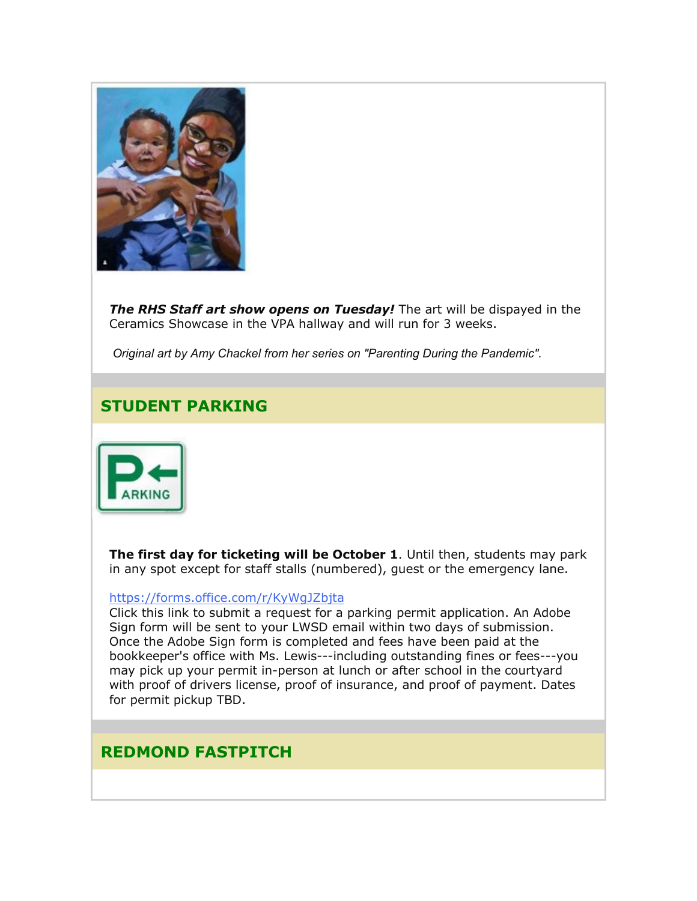

*The RHS Staff art show opens on Tuesday!* The art will be dispayed in the Ceramics Showcase in the VPA hallway and will run for 3 weeks.

*Original art by Amy Chackel from her series on "Parenting During the Pandemic".*

# **STUDENT PARKING**



**The first day for ticketing will be October 1**. Until then, students may park in any spot except for staff stalls (numbered), guest or the emergency lane.

#### [https://forms.office.com/r/KyWgJZbjta](https://nam02.safelinks.protection.outlook.com/?url=http%3A%2F%2Flink.email.dynect.net%2Flink.php%3FDynEngagement%3Dtrue%26H%3DgAbOqugG6RJ%252BllKwZHsanCcKLgr793zCl2P7lflJIY27Z%252Bv7upf1D1y0%252B6W%252F6VrVtuPMVrKKdrwGVNlOAyux3ZmKx2SYnTlrwCpEgvkrqgv5Ol70%252BByAj9FGTyWT6HWA%26G%3D0%26R%3Dhttps%253A%252F%252FUFTOGYZTANA.hatchbuck.com%252FTrackLinkClick%253FID2%253DdblpQWlnySsP-TpSjupD4ESDS6ImtDOK7ZEb-FHQO0v6fOJ3MSOKBFNfQNIRMcYx0%26I%3D20210903232006.00000009e63b%2540mail6-35-ussnn1%26X%3DMHwxMjY0OTIyOjIxNzQ4MDEwNjU7MXwxMjY0OTIzOjE3MzQ5NTA4MDs%253D%26V%3D3%26S%3DrsTU5T-Ik54H4hgFpIS2BdRALHP6pIcx0Fa7ZoRPmKA&data=04%7C01%7Cmwood%40lwsd.org%7C4118341fd47c4a3281db08d974725e0e%7C1fd4673fdf9646218638a1d88c4c85d7%7C0%7C0%7C637668856816634061%7CUnknown%7CTWFpbGZsb3d8eyJWIjoiMC4wLjAwMDAiLCJQIjoiV2luMzIiLCJBTiI6Ik1haWwiLCJXVCI6Mn0%3D%7C1000&sdata=W8wGveLd%2Fvrg%2BaB3ePNFOluJ%2BJ%2FbG2U%2B8ESv7HSZOAI%3D&reserved=0)

Click this link to submit a request for a parking permit application. An Adobe Sign form will be sent to your LWSD email within two days of submission. Once the Adobe Sign form is completed and fees have been paid at the bookkeeper's office with Ms. Lewis---including outstanding fines or fees---you may pick up your permit in-person at lunch or after school in the courtyard with proof of drivers license, proof of insurance, and proof of payment. Dates for permit pickup TBD.

## **REDMOND FASTPITCH**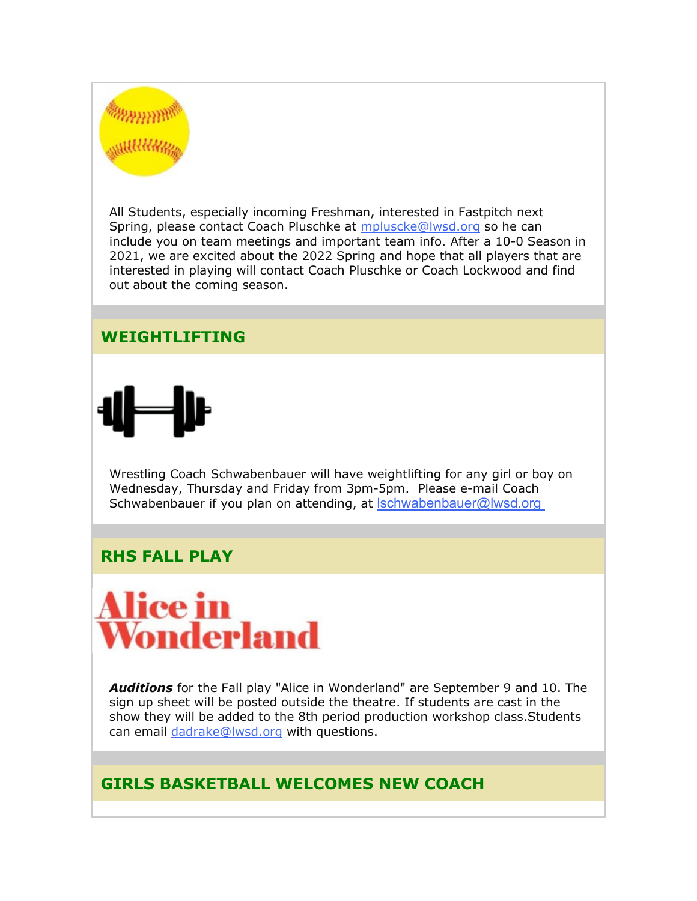

All Students, especially incoming Freshman, interested in Fastpitch next Spring, please contact Coach Pluschke at [mpluscke@lwsd.org](mailto:mpluscke@lwsd.org) so he can include you on team meetings and important team info. After a 10-0 Season in 2021, we are excited about the 2022 Spring and hope that all players that are interested in playing will contact Coach Pluschke or Coach Lockwood and find out about the coming season.

## **WEIGHTLIFTING**



Wrestling Coach Schwabenbauer will have weightlifting for any girl or boy on Wednesday, Thursday and Friday from 3pm-5pm. Please e-mail Coach Schwabenbauer if you plan on attending, at schwabenbauer@lwsd.org

## **RHS FALL PLAY**



*Auditions* for the Fall play "Alice in Wonderland" are September 9 and 10. The sign up sheet will be posted outside the theatre. If students are cast in the show they will be added to the 8th period production workshop class.Students can email [dadrake@lwsd.org](mailto:dadrake@lwsd.org) with questions.

# **GIRLS BASKETBALL WELCOMES NEW COACH**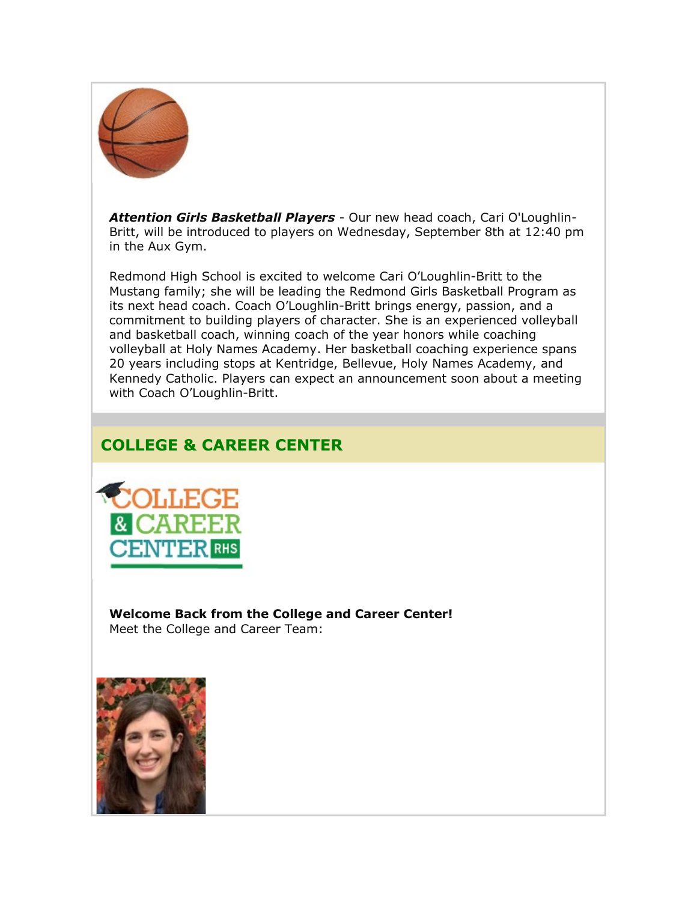

*Attention Girls Basketball Players* - Our new head coach, Cari O'Loughlin-Britt, will be introduced to players on Wednesday, September 8th at 12:40 pm in the Aux Gym.

Redmond High School is excited to welcome Cari O'Loughlin-Britt to the Mustang family; she will be leading the Redmond Girls Basketball Program as its next head coach. Coach O'Loughlin-Britt brings energy, passion, and a commitment to building players of character. She is an experienced volleyball and basketball coach, winning coach of the year honors while coaching volleyball at Holy Names Academy. Her basketball coaching experience spans 20 years including stops at Kentridge, Bellevue, Holy Names Academy, and Kennedy Catholic. Players can expect an announcement soon about a meeting with Coach O'Loughlin-Britt.

# **COLLEGE & CAREER CENTER**



**Welcome Back from the College and Career Center!** Meet the College and Career Team:

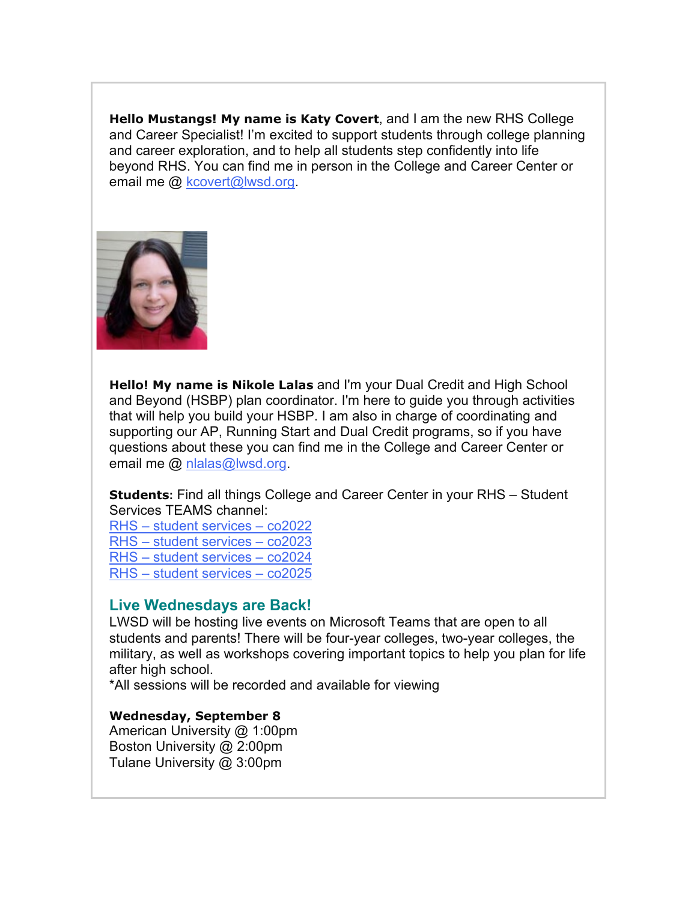**Hello Mustangs! My name is Katy Covert**, and I am the new RHS College and Career Specialist! I'm excited to support students through college planning and career exploration, and to help all students step confidently into life beyond RHS. You can find me in person in the College and Career Center or email me @ [kcovert@lwsd.org.](mailto:kcovert@lwsd.org)



**Hello! My name is Nikole Lalas** and I'm your Dual Credit and High School and Beyond (HSBP) plan coordinator. I'm here to guide you through activities that will help you build your HSBP. I am also in charge of coordinating and supporting our AP, Running Start and Dual Credit programs, so if you have questions about these you can find me in the College and Career Center or email me @ [nlalas@lwsd.org.](mailto:nlalas@lwsd.org)

**Students:** Find all things College and Career Center in your RHS – Student Services TEAMS channel:

RHS – [student services –](https://nam02.safelinks.protection.outlook.com/?url=http%3A%2F%2Flink.email.dynect.net%2Flink.php%3FDynEngagement%3Dtrue%26H%3DgAbOqugG6RJ%252BllKwZHsanCcKLgr793zCl2P7lflJIY27Z%252Bv7upf1D1y0%252B6W%252F6VrVtuPMVrKKdrwGVNlOAyux3ZmKx2SYnTlrwCpEgvkrqgv5Ol70%252BByAj9FGTyWT6HWA%26G%3D0%26R%3Dhttps%253A%252F%252FUFTOGYZTANA.hatchbuck.com%252FTrackLinkClick%253FID2%253D8TphlQ3TDkpMkIqsfYvlerovlDogYs92JZvKtNJOGT2Vfcxk-39UFEtzAl2-RtOK0%26I%3D20210903232006.00000009e63b%2540mail6-35-ussnn1%26X%3DMHwxMjY0OTIyOjIxNzQ4MDEwNjU7MXwxMjY0OTIzOjE3MzQ5NTA4MDs%253D%26V%3D3%26S%3DtoAy8nKcVxcd8qpMuEcyN1qxvP6Mc4GpsKi022dl7KU&data=04%7C01%7Cmwood%40lwsd.org%7C4118341fd47c4a3281db08d974725e0e%7C1fd4673fdf9646218638a1d88c4c85d7%7C0%7C0%7C637668856816644057%7CUnknown%7CTWFpbGZsb3d8eyJWIjoiMC4wLjAwMDAiLCJQIjoiV2luMzIiLCJBTiI6Ik1haWwiLCJXVCI6Mn0%3D%7C1000&sdata=B5RDDzRZhR7jaSf1V7L8tgHnBzeGV9XivTLEwPAc1Nw%3D&reserved=0) co2022 RHS – [student services –](https://nam02.safelinks.protection.outlook.com/?url=http%3A%2F%2Flink.email.dynect.net%2Flink.php%3FDynEngagement%3Dtrue%26H%3DgAbOqugG6RJ%252BllKwZHsanCcKLgr793zCl2P7lflJIY27Z%252Bv7upf1D1y0%252B6W%252F6VrVtuPMVrKKdrwGVNlOAyux3ZmKx2SYnTlrwCpEgvkrqgv5Ol70%252BByAj9FGTyWT6HWA%26G%3D0%26R%3Dhttps%253A%252F%252FUFTOGYZTANA.hatchbuck.com%252FTrackLinkClick%253FID2%253DE1I9Q4ndd7iSAH5-2ZNg-QxzoECrIP-3c9gJXCMwDjh6Dlezn8NGkGvkaASzOlm40%26I%3D20210903232006.00000009e63b%2540mail6-35-ussnn1%26X%3DMHwxMjY0OTIyOjIxNzQ4MDEwNjU7MXwxMjY0OTIzOjE3MzQ5NTA4MDs%253D%26V%3D3%26S%3Dn3NgYn00DdmIi3dJPPKMhbMD0y-uYcnzQRQxW6PPQGE&data=04%7C01%7Cmwood%40lwsd.org%7C4118341fd47c4a3281db08d974725e0e%7C1fd4673fdf9646218638a1d88c4c85d7%7C0%7C0%7C637668856816644057%7CUnknown%7CTWFpbGZsb3d8eyJWIjoiMC4wLjAwMDAiLCJQIjoiV2luMzIiLCJBTiI6Ik1haWwiLCJXVCI6Mn0%3D%7C1000&sdata=qeQbKMH47gBShxrcTnB3zj%2FYiJ1KeGL68HpoF3MRTv8%3D&reserved=0) co2023 RHS – [student services –](https://nam02.safelinks.protection.outlook.com/?url=http%3A%2F%2Flink.email.dynect.net%2Flink.php%3FDynEngagement%3Dtrue%26H%3DgAbOqugG6RJ%252BllKwZHsanCcKLgr793zCl2P7lflJIY27Z%252Bv7upf1D1y0%252B6W%252F6VrVtuPMVrKKdrwGVNlOAyux3ZmKx2SYnTlrwCpEgvkrqgv5Ol70%252BByAj9FGTyWT6HWA%26G%3D0%26R%3Dhttps%253A%252F%252FUFTOGYZTANA.hatchbuck.com%252FTrackLinkClick%253FID2%253DeUN2zRziWXs4lqZ7WNTKoDKxjQP7XzR76By0HfHfjWI2W7NWbEhidWBEYG8HZqEk0%26I%3D20210903232006.00000009e63b%2540mail6-35-ussnn1%26X%3DMHwxMjY0OTIyOjIxNzQ4MDEwNjU7MXwxMjY0OTIzOjE3MzQ5NTA4MDs%253D%26V%3D3%26S%3DiJCm8bfpkbNWtMcLYeas9414nCrEAK4cSYvpwEtObZE&data=04%7C01%7Cmwood%40lwsd.org%7C4118341fd47c4a3281db08d974725e0e%7C1fd4673fdf9646218638a1d88c4c85d7%7C0%7C0%7C637668856816654055%7CUnknown%7CTWFpbGZsb3d8eyJWIjoiMC4wLjAwMDAiLCJQIjoiV2luMzIiLCJBTiI6Ik1haWwiLCJXVCI6Mn0%3D%7C1000&sdata=lauAFsgtcZWkQhetd0ZiutzxlMpPiGQ8mPRWWcEBEhU%3D&reserved=0) co2024 RHS – [student services –](https://nam02.safelinks.protection.outlook.com/?url=http%3A%2F%2Flink.email.dynect.net%2Flink.php%3FDynEngagement%3Dtrue%26H%3DgAbOqugG6RJ%252BllKwZHsanCcKLgr793zCl2P7lflJIY27Z%252Bv7upf1D1y0%252B6W%252F6VrVtuPMVrKKdrwGVNlOAyux3ZmKx2SYnTlrwCpEgvkrqgv5Ol70%252BByAj9FGTyWT6HWA%26G%3D0%26R%3Dhttps%253A%252F%252FUFTOGYZTANA.hatchbuck.com%252FTrackLinkClick%253FID2%253DvPKqmbsErPpGtJMUHagp71V297eyFo1t5v4fbbT7NUEZQEap_KkWhwEpkeXOSYoK0%26I%3D20210903232006.00000009e63b%2540mail6-35-ussnn1%26X%3DMHwxMjY0OTIyOjIxNzQ4MDEwNjU7MXwxMjY0OTIzOjE3MzQ5NTA4MDs%253D%26V%3D3%26S%3DGC5hsC5cxdA5Uo-Gk6AP3WrEvyNDyHLbqyUv-FA78zU&data=04%7C01%7Cmwood%40lwsd.org%7C4118341fd47c4a3281db08d974725e0e%7C1fd4673fdf9646218638a1d88c4c85d7%7C0%7C0%7C637668856816654055%7CUnknown%7CTWFpbGZsb3d8eyJWIjoiMC4wLjAwMDAiLCJQIjoiV2luMzIiLCJBTiI6Ik1haWwiLCJXVCI6Mn0%3D%7C1000&sdata=nY5P7v1mMXGTXCpduVRMRnvsaf%2Br0GiXd%2BQOKOHJ5T0%3D&reserved=0) co2025

## **Live Wednesdays are Back!**

LWSD will be hosting live events on Microsoft Teams that are open to all students and parents! There will be four-year colleges, two-year colleges, the military, as well as workshops covering important topics to help you plan for life after high school.

\*All sessions will be recorded and available for viewing

#### **Wednesday, September 8**

American University @ 1:00pm Boston University @ 2:00pm Tulane University @ 3:00pm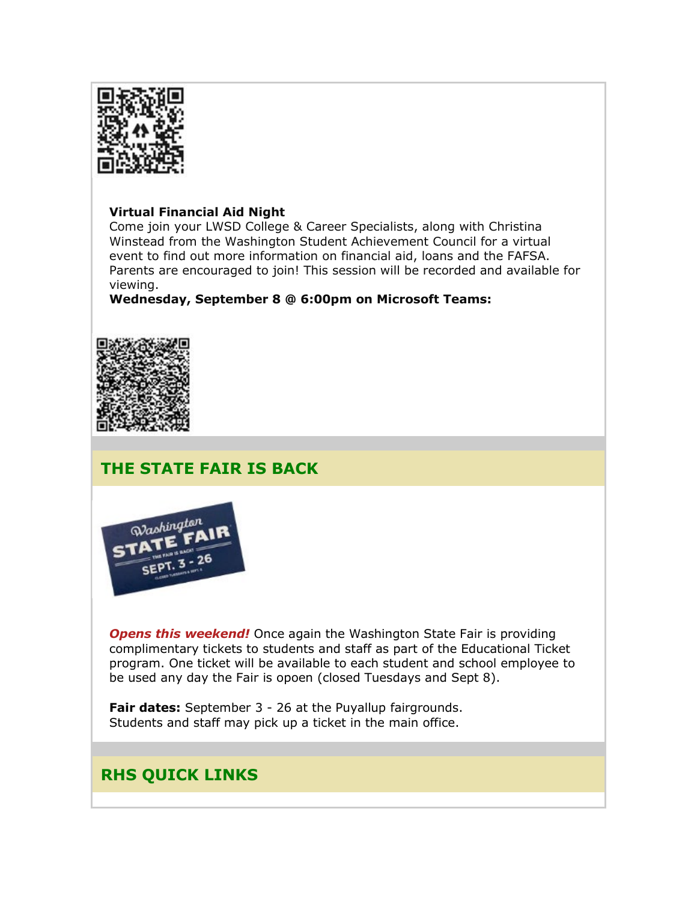

### **Virtual Financial Aid Night**

Come join your LWSD College & Career Specialists, along with Christina Winstead from the Washington Student Achievement Council for a virtual event to find out more information on financial aid, loans and the FAFSA. Parents are encouraged to join! This session will be recorded and available for viewing.

## **Wednesday, September 8 @ 6:00pm on Microsoft Teams:**



# **THE STATE FAIR IS BACK**



**Opens this weekend!** Once again the Washington State Fair is providing complimentary tickets to students and staff as part of the Educational Ticket program. One ticket will be available to each student and school employee to be used any day the Fair is opoen (closed Tuesdays and Sept 8).

**Fair dates:** September 3 - 26 at the Puyallup fairgrounds. Students and staff may pick up a ticket in the main office.

# **RHS QUICK LINKS**